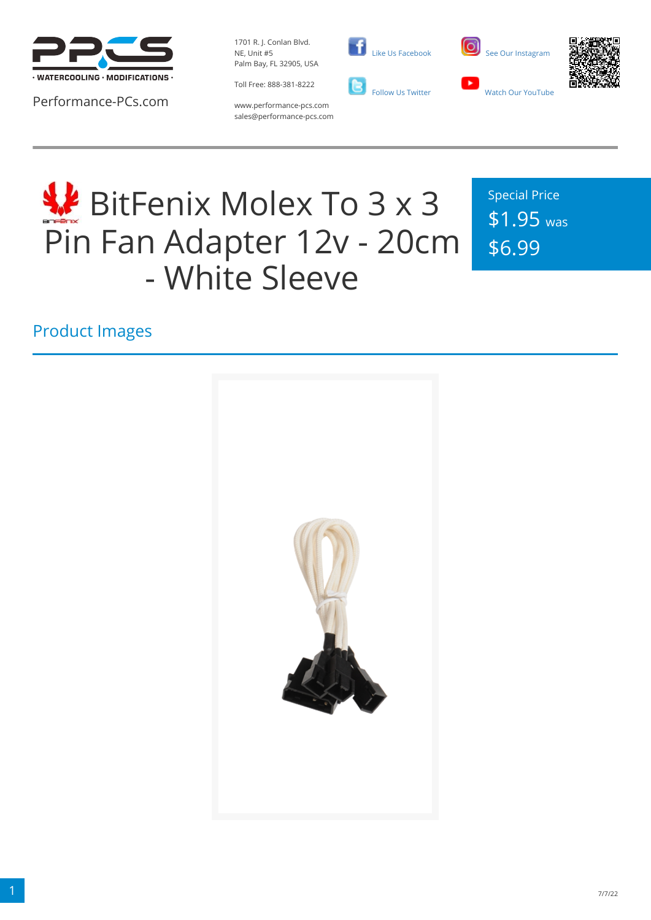

Performance-PCs.com

1701 R. J. Conlan Blvd. NE, Unit #5 Palm Bay, FL 32905, USA

Toll Free: 888-381-8222







www.performance-pcs.com sales@performance-pcs.com

# **WE** BitFenix Molex To 3 x 3 Pin Fan Adapter 12v - 20cm - White Sleeve

Special Price \$1.95 was \$6.99

Product Images

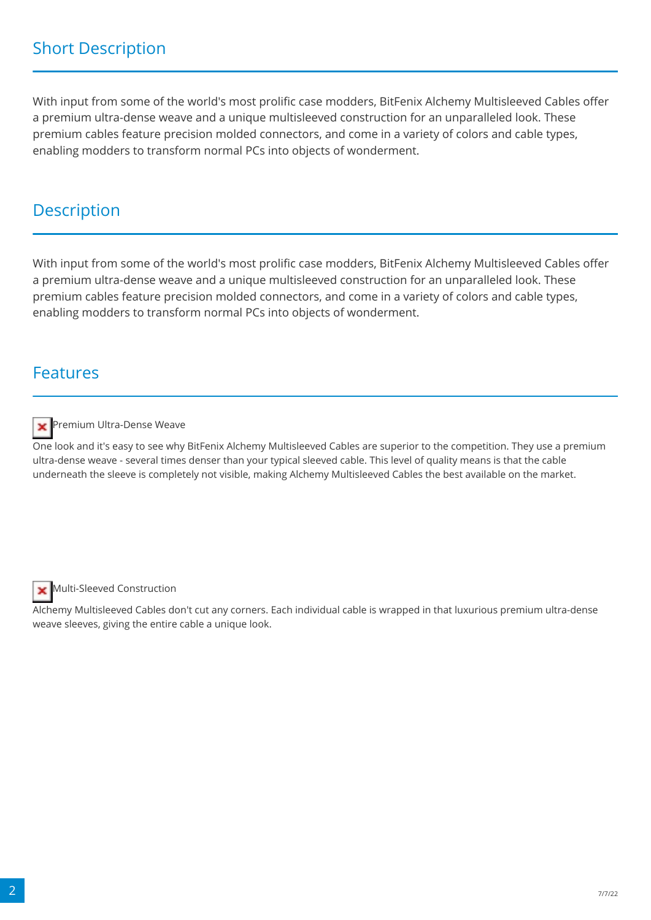### Short Description

With input from some of the world's most prolific case modders, BitFenix Alchemy Multisleeved Cables offer a premium ultra-dense weave and a unique multisleeved construction for an unparalleled look. These premium cables feature precision molded connectors, and come in a variety of colors and cable types, enabling modders to transform normal PCs into objects of wonderment.

#### **Description**

With input from some of the world's most prolific case modders, BitFenix Alchemy Multisleeved Cables offer a premium ultra-dense weave and a unique multisleeved construction for an unparalleled look. These premium cables feature precision molded connectors, and come in a variety of colors and cable types, enabling modders to transform normal PCs into objects of wonderment.

#### Features



Premium Ultra-Dense Weave

One look and it's easy to see why BitFenix Alchemy Multisleeved Cables are superior to the competition. They use a premium ultra-dense weave - several times denser than your typical sleeved cable. This level of quality means is that the cable underneath the sleeve is completely not visible, making Alchemy Multisleeved Cables the best available on the market.



Multi-Sleeved Construction

Alchemy Multisleeved Cables don't cut any corners. Each individual cable is wrapped in that luxurious premium ultra-dense weave sleeves, giving the entire cable a unique look.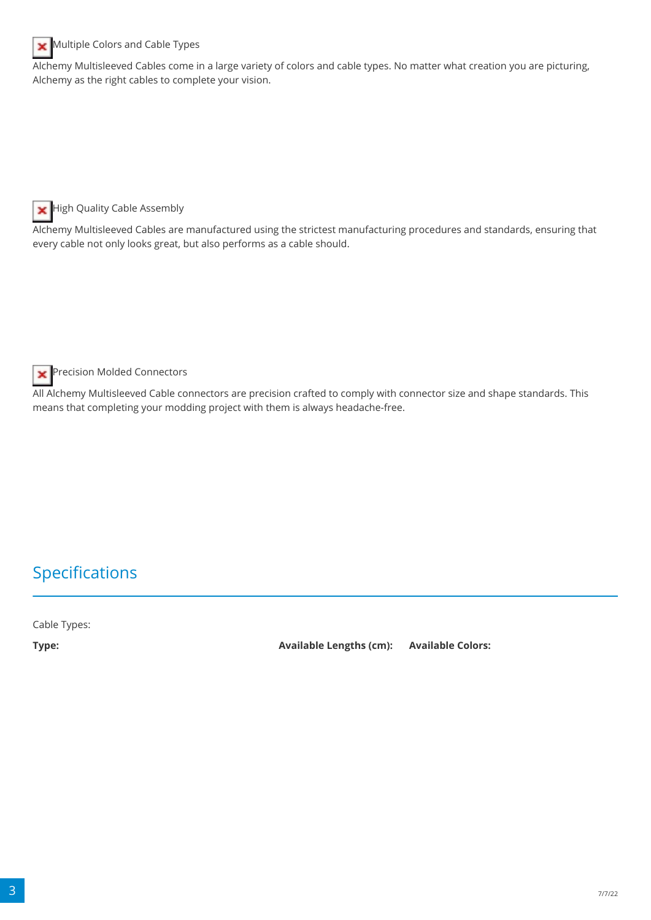

#### Multiple Colors and Cable Types

Alchemy Multisleeved Cables come in a large variety of colors and cable types. No matter what creation you are picturing, Alchemy as the right cables to complete your vision.

High Quality Cable Assembly ×

Alchemy Multisleeved Cables are manufactured using the strictest manufacturing procedures and standards, ensuring that every cable not only looks great, but also performs as a cable should.

Precision Molded Connectors ×

All Alchemy Multisleeved Cable connectors are precision crafted to comply with connector size and shape standards. This means that completing your modding project with them is always headache-free.

## Specifications

Cable Types:

**Type: Available Lengths (cm): Available Colors:**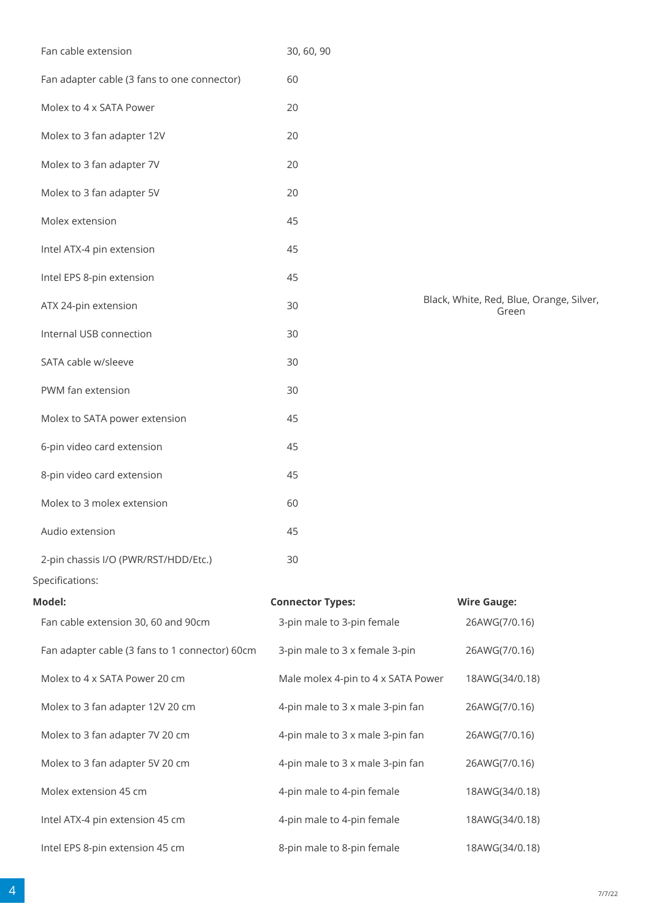| Fan adapter cable (3 fans to one connector)    | 60                                 |                                                   |
|------------------------------------------------|------------------------------------|---------------------------------------------------|
| Molex to 4 x SATA Power                        | 20                                 |                                                   |
| Molex to 3 fan adapter 12V                     | 20                                 |                                                   |
| Molex to 3 fan adapter 7V                      | 20                                 |                                                   |
| Molex to 3 fan adapter 5V                      | 20                                 |                                                   |
| Molex extension                                | 45                                 |                                                   |
| Intel ATX-4 pin extension                      | 45                                 |                                                   |
| Intel EPS 8-pin extension                      | 45                                 |                                                   |
| ATX 24-pin extension                           | 30                                 | Black, White, Red, Blue, Orange, Silver,<br>Green |
| Internal USB connection                        | 30                                 |                                                   |
| SATA cable w/sleeve                            | 30                                 |                                                   |
| PWM fan extension                              | 30                                 |                                                   |
| Molex to SATA power extension                  | 45                                 |                                                   |
| 6-pin video card extension                     | 45                                 |                                                   |
| 8-pin video card extension                     | 45                                 |                                                   |
| Molex to 3 molex extension                     | 60                                 |                                                   |
| Audio extension                                | 45                                 |                                                   |
| 2-pin chassis I/O (PWR/RST/HDD/Etc.)           | 30                                 |                                                   |
| Specifications:                                |                                    |                                                   |
| Model:                                         | <b>Connector Types:</b>            | <b>Wire Gauge:</b>                                |
| Fan cable extension 30, 60 and 90cm            | 3-pin male to 3-pin female         | 26AWG(7/0.16)                                     |
| Fan adapter cable (3 fans to 1 connector) 60cm | 3-pin male to 3 x female 3-pin     | 26AWG(7/0.16)                                     |
| Molex to 4 x SATA Power 20 cm                  | Male molex 4-pin to 4 x SATA Power | 18AWG(34/0.18)                                    |
| Molex to 3 fan adapter 12V 20 cm               | 4-pin male to 3 x male 3-pin fan   | 26AWG(7/0.16)                                     |
| Molex to 3 fan adapter 7V 20 cm                | 4-pin male to 3 x male 3-pin fan   | 26AWG(7/0.16)                                     |
| Molex to 3 fan adapter 5V 20 cm                | 4-pin male to 3 x male 3-pin fan   | 26AWG(7/0.16)                                     |
| Molex extension 45 cm                          | 4-pin male to 4-pin female         | 18AWG(34/0.18)                                    |
| Intel ATX-4 pin extension 45 cm                | 4-pin male to 4-pin female         | 18AWG(34/0.18)                                    |
| Intel EPS 8-pin extension 45 cm                | 8-pin male to 8-pin female         | 18AWG(34/0.18)                                    |
|                                                |                                    |                                                   |

Fan cable extension 30, 60, 90